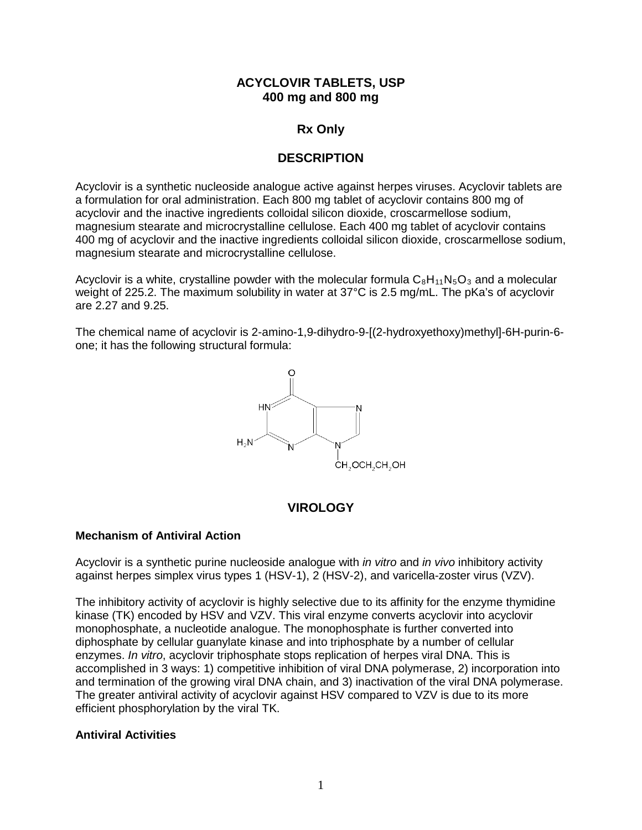# **ACYCLOVIR TABLETS, USP 400 mg and 800 mg**

# **Rx Only**

# **DESCRIPTION**

Acyclovir is a synthetic nucleoside analogue active against herpes viruses. Acyclovir tablets are a formulation for oral administration. Each 800 mg tablet of acyclovir contains 800 mg of acyclovir and the inactive ingredients colloidal silicon dioxide, croscarmellose sodium, magnesium stearate and microcrystalline cellulose. Each 400 mg tablet of acyclovir contains 400 mg of acyclovir and the inactive ingredients colloidal silicon dioxide, croscarmellose sodium, magnesium stearate and microcrystalline cellulose.

Acyclovir is a white, crystalline powder with the molecular formula  $C_8H_{11}N_5O_3$  and a molecular weight of 225.2. The maximum solubility in water at 37°C is 2.5 mg/mL. The pKa's of acyclovir are 2.27 and 9.25.

The chemical name of acyclovir is 2-amino-1,9-dihydro-9-[(2-hydroxyethoxy)methyl]-6H-purin-6 one; it has the following structural formula:



# **VIROLOGY**

### **Mechanism of Antiviral Action**

Acyclovir is a synthetic purine nucleoside analogue with *in vitro* and *in vivo* inhibitory activity against herpes simplex virus types 1 (HSV-1), 2 (HSV-2), and varicella-zoster virus (VZV).

The inhibitory activity of acyclovir is highly selective due to its affinity for the enzyme thymidine kinase (TK) encoded by HSV and VZV. This viral enzyme converts acyclovir into acyclovir monophosphate, a nucleotide analogue. The monophosphate is further converted into diphosphate by cellular guanylate kinase and into triphosphate by a number of cellular enzymes. *In vitro*, acyclovir triphosphate stops replication of herpes viral DNA. This is accomplished in 3 ways: 1) competitive inhibition of viral DNA polymerase, 2) incorporation into and termination of the growing viral DNA chain, and 3) inactivation of the viral DNA polymerase. The greater antiviral activity of acyclovir against HSV compared to VZV is due to its more efficient phosphorylation by the viral TK.

### **Antiviral Activities**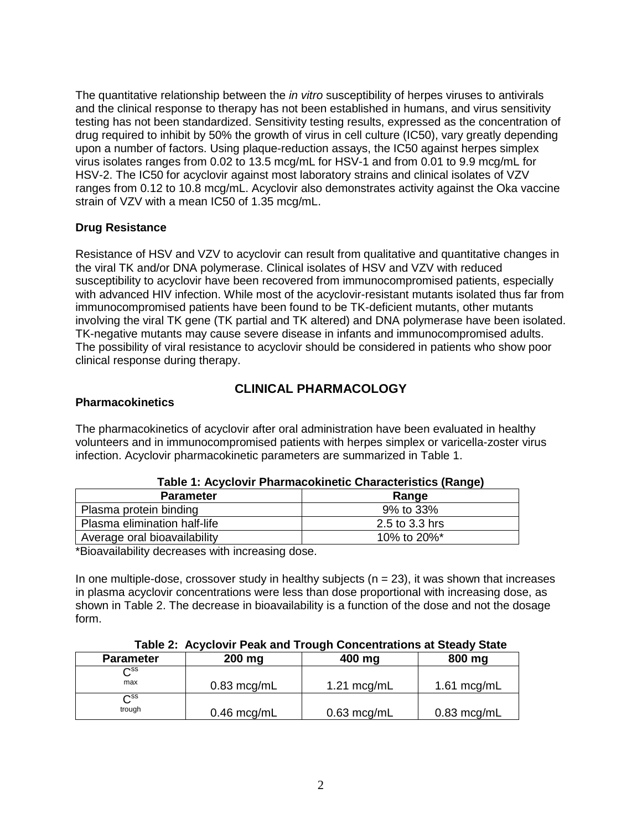The quantitative relationship between the *in vitro* susceptibility of herpes viruses to antivirals and the clinical response to therapy has not been established in humans, and virus sensitivity testing has not been standardized. Sensitivity testing results, expressed as the concentration of drug required to inhibit by 50% the growth of virus in cell culture (IC50), vary greatly depending upon a number of factors. Using plaque-reduction assays, the IC50 against herpes simplex virus isolates ranges from 0.02 to 13.5 mcg/mL for HSV-1 and from 0.01 to 9.9 mcg/mL for HSV-2. The IC50 for acyclovir against most laboratory strains and clinical isolates of VZV ranges from 0.12 to 10.8 mcg/mL. Acyclovir also demonstrates activity against the Oka vaccine strain of VZV with a mean IC50 of 1.35 mcg/mL.

### **Drug Resistance**

Resistance of HSV and VZV to acyclovir can result from qualitative and quantitative changes in the viral TK and/or DNA polymerase. Clinical isolates of HSV and VZV with reduced susceptibility to acyclovir have been recovered from immunocompromised patients, especially with advanced HIV infection. While most of the acyclovir-resistant mutants isolated thus far from immunocompromised patients have been found to be TK-deficient mutants, other mutants involving the viral TK gene (TK partial and TK altered) and DNA polymerase have been isolated. TK-negative mutants may cause severe disease in infants and immunocompromised adults. The possibility of viral resistance to acyclovir should be considered in patients who show poor clinical response during therapy.

# **CLINICAL PHARMACOLOGY**

### **Pharmacokinetics**

The pharmacokinetics of acyclovir after oral administration have been evaluated in healthy volunteers and in immunocompromised patients with herpes simplex or varicella-zoster virus infection. Acyclovir pharmacokinetic parameters are summarized in Table 1.

| Table T. Actions I Harmaconfield Onaracteristics (Range) |                |  |
|----------------------------------------------------------|----------------|--|
| <b>Parameter</b>                                         | Range          |  |
| Plasma protein binding                                   | 9% to 33%      |  |
| Plasma elimination half-life                             | 2.5 to 3.3 hrs |  |
| Average oral bioavailability                             | 10% to 20%*    |  |

\*Bioavailability decreases with increasing dose.

In one multiple-dose, crossover study in healthy subjects ( $n = 23$ ), it was shown that increases in plasma acyclovir concentrations were less than dose proportional with increasing dose, as shown in Table 2. The decrease in bioavailability is a function of the dose and not the dosage form.

#### **Table 2: Acyclovir Peak and Trough Concentrations at Steady State**

| <b>Parameter</b>         | 200 mg                | 400 mg                | 800 mg                |
|--------------------------|-----------------------|-----------------------|-----------------------|
| $\mathsf{\sim}\text{ss}$ |                       |                       |                       |
| max                      | $0.83 \text{ mcg/mL}$ | $1.21 \text{ mcq/mL}$ | 1.61 $mcg/mL$         |
| $\mathsf{\sim}\text{ss}$ |                       |                       |                       |
| trough                   | $0.46 \text{~mcg/mL}$ | $0.63 \text{~mcg/mL}$ | $0.83 \text{ mcg/mL}$ |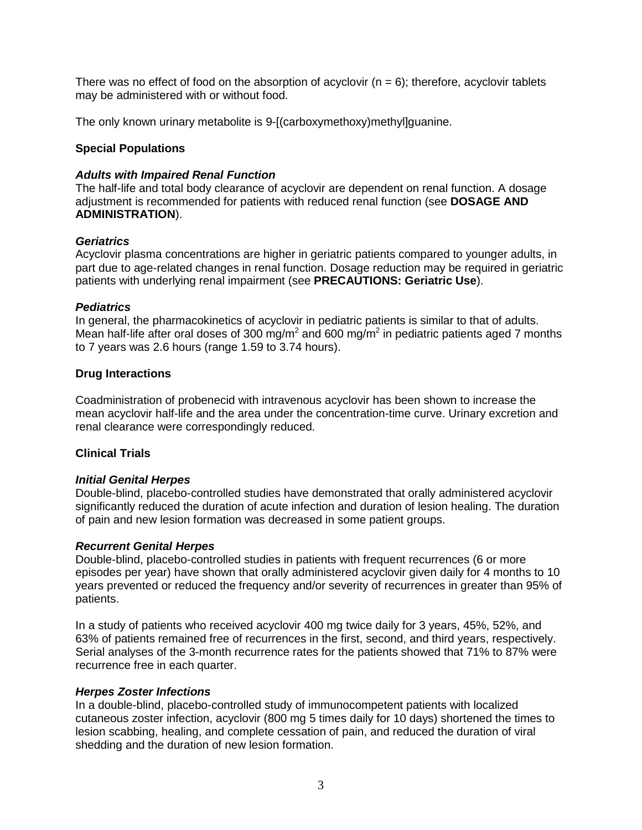There was no effect of food on the absorption of acyclovir  $(n = 6)$ ; therefore, acyclovir tablets may be administered with or without food.

The only known urinary metabolite is 9-[(carboxymethoxy)methyl]guanine.

#### **Special Populations**

#### *Adults with Impaired Renal Function*

The half-life and total body clearance of acyclovir are dependent on renal function. A dosage adjustment is recommended for patients with reduced renal function (see **DOSAGE AND ADMINISTRATION**).

#### *Geriatrics*

Acyclovir plasma concentrations are higher in geriatric patients compared to younger adults, in part due to age-related changes in renal function. Dosage reduction may be required in geriatric patients with underlying renal impairment (see **PRECAUTIONS: Geriatric Use**).

#### *Pediatrics*

In general, the pharmacokinetics of acyclovir in pediatric patients is similar to that of adults. Mean half-life after oral doses of 300 mg/m<sup>2</sup> and 600 mg/m<sup>2</sup> in pediatric patients aged 7 months to 7 years was 2.6 hours (range 1.59 to 3.74 hours).

#### **Drug Interactions**

Coadministration of probenecid with intravenous acyclovir has been shown to increase the mean acyclovir half-life and the area under the concentration-time curve. Urinary excretion and renal clearance were correspondingly reduced.

### **Clinical Trials**

### *Initial Genital Herpes*

Double-blind, placebo-controlled studies have demonstrated that orally administered acyclovir significantly reduced the duration of acute infection and duration of lesion healing. The duration of pain and new lesion formation was decreased in some patient groups.

#### *Recurrent Genital Herpes*

Double-blind, placebo-controlled studies in patients with frequent recurrences (6 or more episodes per year) have shown that orally administered acyclovir given daily for 4 months to 10 years prevented or reduced the frequency and/or severity of recurrences in greater than 95% of patients.

In a study of patients who received acyclovir 400 mg twice daily for 3 years, 45%, 52%, and 63% of patients remained free of recurrences in the first, second, and third years, respectively. Serial analyses of the 3-month recurrence rates for the patients showed that 71% to 87% were recurrence free in each quarter.

#### *Herpes Zoster Infections*

In a double-blind, placebo-controlled study of immunocompetent patients with localized cutaneous zoster infection, acyclovir (800 mg 5 times daily for 10 days) shortened the times to lesion scabbing, healing, and complete cessation of pain, and reduced the duration of viral shedding and the duration of new lesion formation.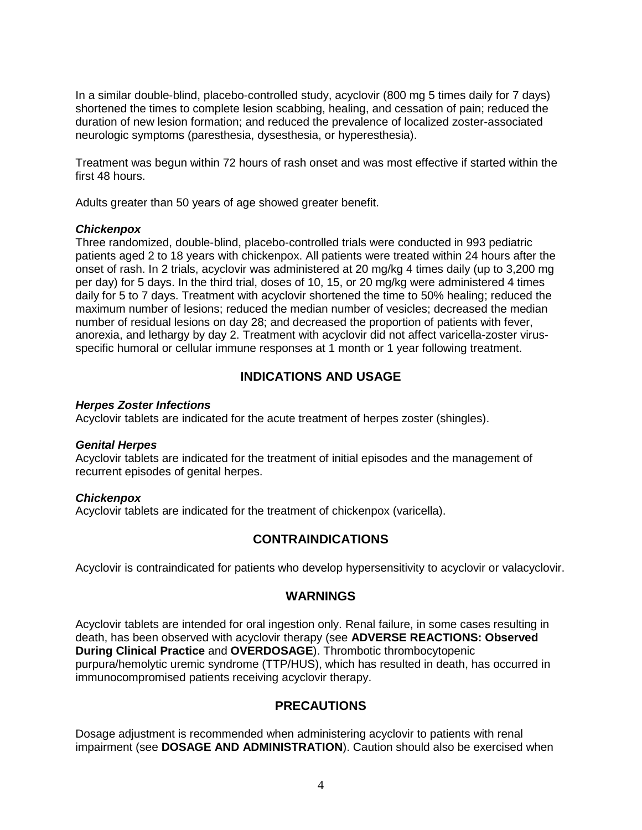In a similar double-blind, placebo-controlled study, acyclovir (800 mg 5 times daily for 7 days) shortened the times to complete lesion scabbing, healing, and cessation of pain; reduced the duration of new lesion formation; and reduced the prevalence of localized zoster-associated neurologic symptoms (paresthesia, dysesthesia, or hyperesthesia).

Treatment was begun within 72 hours of rash onset and was most effective if started within the first 48 hours.

Adults greater than 50 years of age showed greater benefit.

#### *Chickenpox*

Three randomized, double-blind, placebo-controlled trials were conducted in 993 pediatric patients aged 2 to 18 years with chickenpox. All patients were treated within 24 hours after the onset of rash. In 2 trials, acyclovir was administered at 20 mg/kg 4 times daily (up to 3,200 mg per day) for 5 days. In the third trial, doses of 10, 15, or 20 mg/kg were administered 4 times daily for 5 to 7 days. Treatment with acyclovir shortened the time to 50% healing; reduced the maximum number of lesions; reduced the median number of vesicles; decreased the median number of residual lesions on day 28; and decreased the proportion of patients with fever, anorexia, and lethargy by day 2. Treatment with acyclovir did not affect varicella-zoster virusspecific humoral or cellular immune responses at 1 month or 1 year following treatment.

# **INDICATIONS AND USAGE**

#### *Herpes Zoster Infections*

Acyclovir tablets are indicated for the acute treatment of herpes zoster (shingles).

#### *Genital Herpes*

Acyclovir tablets are indicated for the treatment of initial episodes and the management of recurrent episodes of genital herpes.

#### *Chickenpox*

Acyclovir tablets are indicated for the treatment of chickenpox (varicella).

### **CONTRAINDICATIONS**

Acyclovir is contraindicated for patients who develop hypersensitivity to acyclovir or valacyclovir.

#### **WARNINGS**

Acyclovir tablets are intended for oral ingestion only. Renal failure, in some cases resulting in death, has been observed with acyclovir therapy (see **ADVERSE REACTIONS: Observed During Clinical Practice** and **OVERDOSAGE**). Thrombotic thrombocytopenic purpura/hemolytic uremic syndrome (TTP/HUS), which has resulted in death, has occurred in immunocompromised patients receiving acyclovir therapy.

# **PRECAUTIONS**

Dosage adjustment is recommended when administering acyclovir to patients with renal impairment (see **DOSAGE AND ADMINISTRATION**). Caution should also be exercised when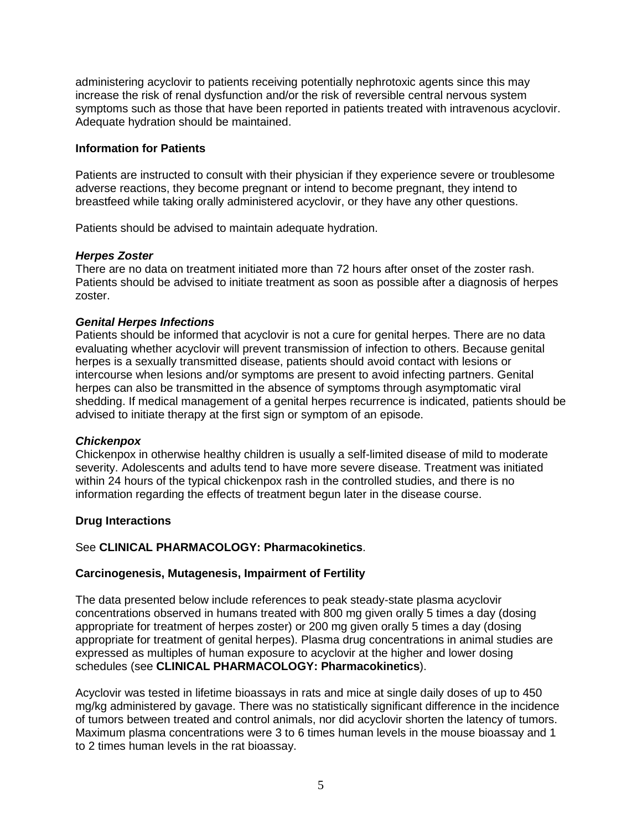administering acyclovir to patients receiving potentially nephrotoxic agents since this may increase the risk of renal dysfunction and/or the risk of reversible central nervous system symptoms such as those that have been reported in patients treated with intravenous acyclovir. Adequate hydration should be maintained.

#### **Information for Patients**

Patients are instructed to consult with their physician if they experience severe or troublesome adverse reactions, they become pregnant or intend to become pregnant, they intend to breastfeed while taking orally administered acyclovir, or they have any other questions.

Patients should be advised to maintain adequate hydration.

#### *Herpes Zoster*

There are no data on treatment initiated more than 72 hours after onset of the zoster rash. Patients should be advised to initiate treatment as soon as possible after a diagnosis of herpes zoster.

#### *Genital Herpes Infections*

Patients should be informed that acyclovir is not a cure for genital herpes. There are no data evaluating whether acyclovir will prevent transmission of infection to others. Because genital herpes is a sexually transmitted disease, patients should avoid contact with lesions or intercourse when lesions and/or symptoms are present to avoid infecting partners. Genital herpes can also be transmitted in the absence of symptoms through asymptomatic viral shedding. If medical management of a genital herpes recurrence is indicated, patients should be advised to initiate therapy at the first sign or symptom of an episode.

#### *Chickenpox*

Chickenpox in otherwise healthy children is usually a self-limited disease of mild to moderate severity. Adolescents and adults tend to have more severe disease. Treatment was initiated within 24 hours of the typical chickenpox rash in the controlled studies, and there is no information regarding the effects of treatment begun later in the disease course.

#### **Drug Interactions**

### See **CLINICAL PHARMACOLOGY: Pharmacokinetics**.

### **Carcinogenesis, Mutagenesis, Impairment of Fertility**

The data presented below include references to peak steady-state plasma acyclovir concentrations observed in humans treated with 800 mg given orally 5 times a day (dosing appropriate for treatment of herpes zoster) or 200 mg given orally 5 times a day (dosing appropriate for treatment of genital herpes). Plasma drug concentrations in animal studies are expressed as multiples of human exposure to acyclovir at the higher and lower dosing schedules (see **CLINICAL PHARMACOLOGY: Pharmacokinetics**).

Acyclovir was tested in lifetime bioassays in rats and mice at single daily doses of up to 450 mg/kg administered by gavage. There was no statistically significant difference in the incidence of tumors between treated and control animals, nor did acyclovir shorten the latency of tumors. Maximum plasma concentrations were 3 to 6 times human levels in the mouse bioassay and 1 to 2 times human levels in the rat bioassay.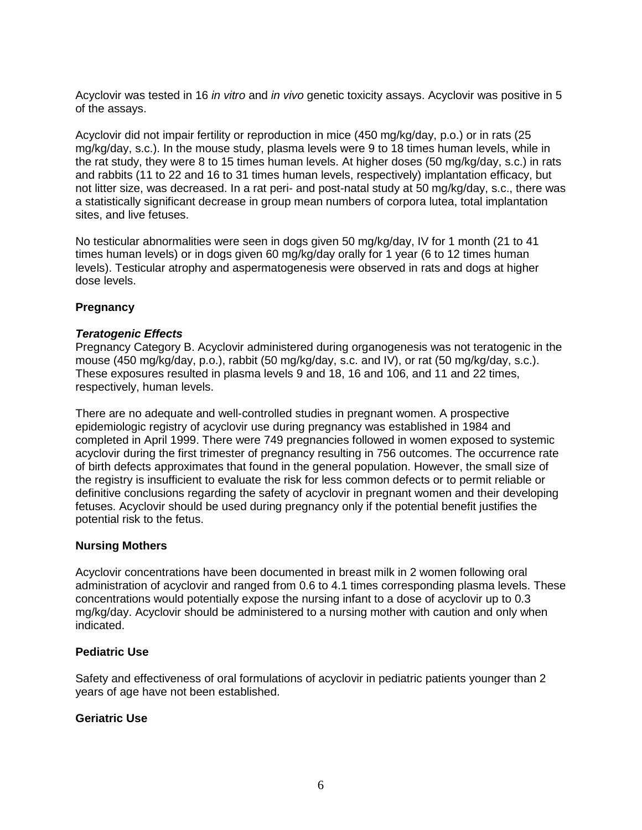Acyclovir was tested in 16 *in vitro* and *in vivo* genetic toxicity assays. Acyclovir was positive in 5 of the assays.

Acyclovir did not impair fertility or reproduction in mice (450 mg/kg/day, p.o.) or in rats (25 mg/kg/day, s.c.). In the mouse study, plasma levels were 9 to 18 times human levels, while in the rat study, they were 8 to 15 times human levels. At higher doses (50 mg/kg/day, s.c.) in rats and rabbits (11 to 22 and 16 to 31 times human levels, respectively) implantation efficacy, but not litter size, was decreased. In a rat peri- and post-natal study at 50 mg/kg/day, s.c., there was a statistically significant decrease in group mean numbers of corpora lutea, total implantation sites, and live fetuses.

No testicular abnormalities were seen in dogs given 50 mg/kg/day, IV for 1 month (21 to 41 times human levels) or in dogs given 60 mg/kg/day orally for 1 year (6 to 12 times human levels). Testicular atrophy and aspermatogenesis were observed in rats and dogs at higher dose levels.

### **Pregnancy**

#### *Teratogenic Effects*

Pregnancy Category B. Acyclovir administered during organogenesis was not teratogenic in the mouse (450 mg/kg/day, p.o.), rabbit (50 mg/kg/day, s.c. and IV), or rat (50 mg/kg/day, s.c.). These exposures resulted in plasma levels 9 and 18, 16 and 106, and 11 and 22 times, respectively, human levels.

There are no adequate and well-controlled studies in pregnant women. A prospective epidemiologic registry of acyclovir use during pregnancy was established in 1984 and completed in April 1999. There were 749 pregnancies followed in women exposed to systemic acyclovir during the first trimester of pregnancy resulting in 756 outcomes. The occurrence rate of birth defects approximates that found in the general population. However, the small size of the registry is insufficient to evaluate the risk for less common defects or to permit reliable or definitive conclusions regarding the safety of acyclovir in pregnant women and their developing fetuses. Acyclovir should be used during pregnancy only if the potential benefit justifies the potential risk to the fetus.

#### **Nursing Mothers**

Acyclovir concentrations have been documented in breast milk in 2 women following oral administration of acyclovir and ranged from 0.6 to 4.1 times corresponding plasma levels. These concentrations would potentially expose the nursing infant to a dose of acyclovir up to 0.3 mg/kg/day. Acyclovir should be administered to a nursing mother with caution and only when indicated.

#### **Pediatric Use**

Safety and effectiveness of oral formulations of acyclovir in pediatric patients younger than 2 years of age have not been established.

#### **Geriatric Use**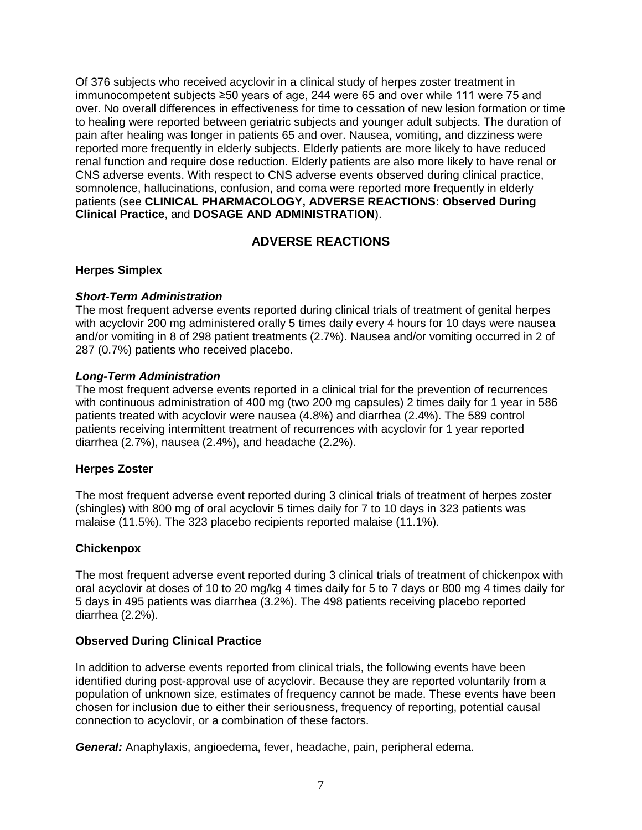Of 376 subjects who received acyclovir in a clinical study of herpes zoster treatment in immunocompetent subjects ≥50 years of age, 244 were 65 and over while 111 were 75 and over. No overall differences in effectiveness for time to cessation of new lesion formation or time to healing were reported between geriatric subjects and younger adult subjects. The duration of pain after healing was longer in patients 65 and over. Nausea, vomiting, and dizziness were reported more frequently in elderly subjects. Elderly patients are more likely to have reduced renal function and require dose reduction. Elderly patients are also more likely to have renal or CNS adverse events. With respect to CNS adverse events observed during clinical practice, somnolence, hallucinations, confusion, and coma were reported more frequently in elderly patients (see **CLINICAL PHARMACOLOGY, ADVERSE REACTIONS: Observed During Clinical Practice**, and **DOSAGE AND ADMINISTRATION**).

# **ADVERSE REACTIONS**

### **Herpes Simplex**

### *Short-Term Administration*

The most frequent adverse events reported during clinical trials of treatment of genital herpes with acyclovir 200 mg administered orally 5 times daily every 4 hours for 10 days were nausea and/or vomiting in 8 of 298 patient treatments (2.7%). Nausea and/or vomiting occurred in 2 of 287 (0.7%) patients who received placebo.

#### *Long-Term Administration*

The most frequent adverse events reported in a clinical trial for the prevention of recurrences with continuous administration of 400 mg (two 200 mg capsules) 2 times daily for 1 year in 586 patients treated with acyclovir were nausea (4.8%) and diarrhea (2.4%). The 589 control patients receiving intermittent treatment of recurrences with acyclovir for 1 year reported diarrhea (2.7%), nausea (2.4%), and headache (2.2%).

#### **Herpes Zoster**

The most frequent adverse event reported during 3 clinical trials of treatment of herpes zoster (shingles) with 800 mg of oral acyclovir 5 times daily for 7 to 10 days in 323 patients was malaise (11.5%). The 323 placebo recipients reported malaise (11.1%).

### **Chickenpox**

The most frequent adverse event reported during 3 clinical trials of treatment of chickenpox with oral acyclovir at doses of 10 to 20 mg/kg 4 times daily for 5 to 7 days or 800 mg 4 times daily for 5 days in 495 patients was diarrhea (3.2%). The 498 patients receiving placebo reported diarrhea (2.2%).

#### **Observed During Clinical Practice**

In addition to adverse events reported from clinical trials, the following events have been identified during post-approval use of acyclovir. Because they are reported voluntarily from a population of unknown size, estimates of frequency cannot be made. These events have been chosen for inclusion due to either their seriousness, frequency of reporting, potential causal connection to acyclovir, or a combination of these factors.

*General:* Anaphylaxis, angioedema, fever, headache, pain, peripheral edema.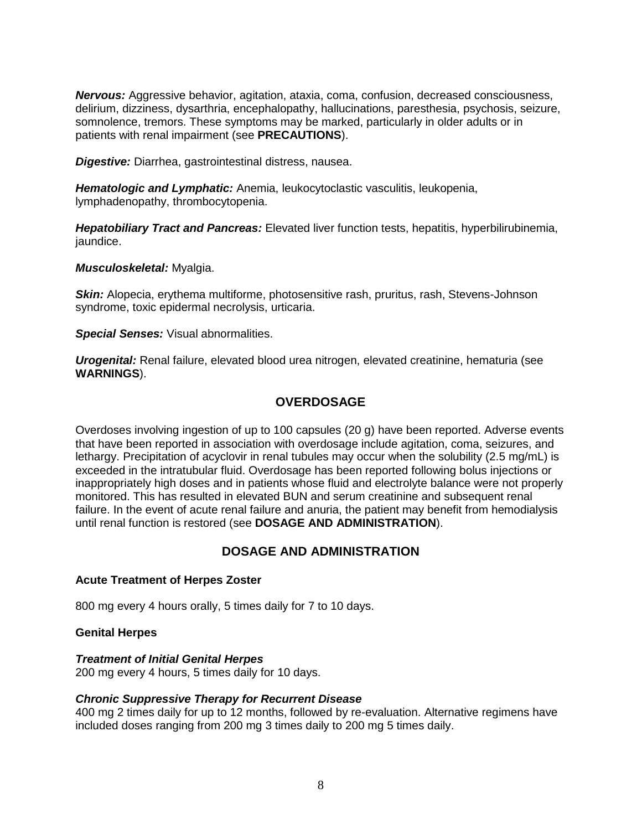*Nervous:* Aggressive behavior, agitation, ataxia, coma, confusion, decreased consciousness, delirium, dizziness, dysarthria, encephalopathy, hallucinations, paresthesia, psychosis, seizure, somnolence, tremors. These symptoms may be marked, particularly in older adults or in patients with renal impairment (see **PRECAUTIONS**).

*Digestive:* Diarrhea, gastrointestinal distress, nausea.

*Hematologic and Lymphatic:* Anemia, leukocytoclastic vasculitis, leukopenia, lymphadenopathy, thrombocytopenia.

*Hepatobiliary Tract and Pancreas:* Elevated liver function tests, hepatitis, hyperbilirubinemia, jaundice.

*Musculoskeletal:* Myalgia.

**Skin:** Alopecia, erythema multiforme, photosensitive rash, pruritus, rash, Stevens-Johnson syndrome, toxic epidermal necrolysis, urticaria.

*Special Senses:* Visual abnormalities.

*Urogenital:* Renal failure, elevated blood urea nitrogen, elevated creatinine, hematuria (see **WARNINGS**).

# **OVERDOSAGE**

Overdoses involving ingestion of up to 100 capsules (20 g) have been reported. Adverse events that have been reported in association with overdosage include agitation, coma, seizures, and lethargy. Precipitation of acyclovir in renal tubules may occur when the solubility (2.5 mg/mL) is exceeded in the intratubular fluid. Overdosage has been reported following bolus injections or inappropriately high doses and in patients whose fluid and electrolyte balance were not properly monitored. This has resulted in elevated BUN and serum creatinine and subsequent renal failure. In the event of acute renal failure and anuria, the patient may benefit from hemodialysis until renal function is restored (see **DOSAGE AND ADMINISTRATION**).

# **DOSAGE AND ADMINISTRATION**

#### **Acute Treatment of Herpes Zoster**

800 mg every 4 hours orally, 5 times daily for 7 to 10 days.

#### **Genital Herpes**

#### *Treatment of Initial Genital Herpes*

200 mg every 4 hours, 5 times daily for 10 days.

#### *Chronic Suppressive Therapy for Recurrent Disease*

400 mg 2 times daily for up to 12 months, followed by re-evaluation. Alternative regimens have included doses ranging from 200 mg 3 times daily to 200 mg 5 times daily.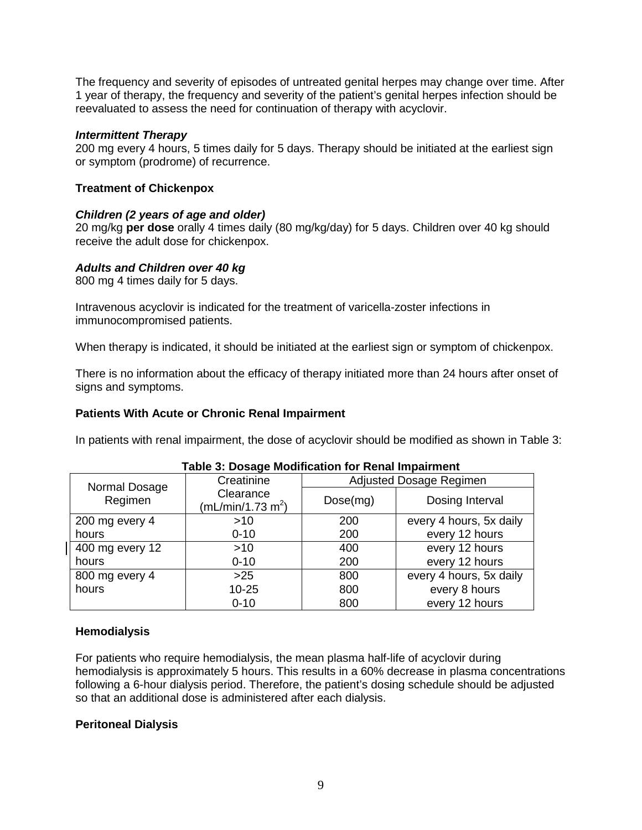The frequency and severity of episodes of untreated genital herpes may change over time. After 1 year of therapy, the frequency and severity of the patient's genital herpes infection should be reevaluated to assess the need for continuation of therapy with acyclovir.

#### *Intermittent Therapy*

200 mg every 4 hours, 5 times daily for 5 days. Therapy should be initiated at the earliest sign or symptom (prodrome) of recurrence.

### **Treatment of Chickenpox**

#### *Children (2 years of age and older)*

20 mg/kg **per dose** orally 4 times daily (80 mg/kg/day) for 5 days. Children over 40 kg should receive the adult dose for chickenpox.

#### *Adults and Children over 40 kg*

800 mg 4 times daily for 5 days.

Intravenous acyclovir is indicated for the treatment of varicella-zoster infections in immunocompromised patients.

When therapy is indicated, it should be initiated at the earliest sign or symptom of chickenpox.

There is no information about the efficacy of therapy initiated more than 24 hours after onset of signs and symptoms.

#### **Patients With Acute or Chronic Renal Impairment**

In patients with renal impairment, the dose of acyclovir should be modified as shown in Table 3:

| - - -           |                                            |                         |                         |  |  |
|-----------------|--------------------------------------------|-------------------------|-------------------------|--|--|
| Normal Dosage   | Creatinine                                 | Adjusted Dosage Regimen |                         |  |  |
| Regimen         | Clearance<br>(mL/min/1.73 m <sup>2</sup> ) | Dose(mg)                | Dosing Interval         |  |  |
| 200 mg every 4  | $>10$                                      | 200                     | every 4 hours, 5x daily |  |  |
| hours           | $0 - 10$                                   | 200                     | every 12 hours          |  |  |
| 400 mg every 12 | >10                                        | 400                     | every 12 hours          |  |  |
| hours           | $0 - 10$                                   | 200                     | every 12 hours          |  |  |
| 800 mg every 4  | $>25$                                      | 800                     | every 4 hours, 5x daily |  |  |
| hours           | $10 - 25$                                  | 800                     | every 8 hours           |  |  |
|                 | $0 - 10$                                   | 800                     | every 12 hours          |  |  |

#### **Table 3: Dosage Modification for Renal Impairment**

#### **Hemodialysis**

For patients who require hemodialysis, the mean plasma half-life of acyclovir during hemodialysis is approximately 5 hours. This results in a 60% decrease in plasma concentrations following a 6-hour dialysis period. Therefore, the patient's dosing schedule should be adjusted so that an additional dose is administered after each dialysis.

### **Peritoneal Dialysis**